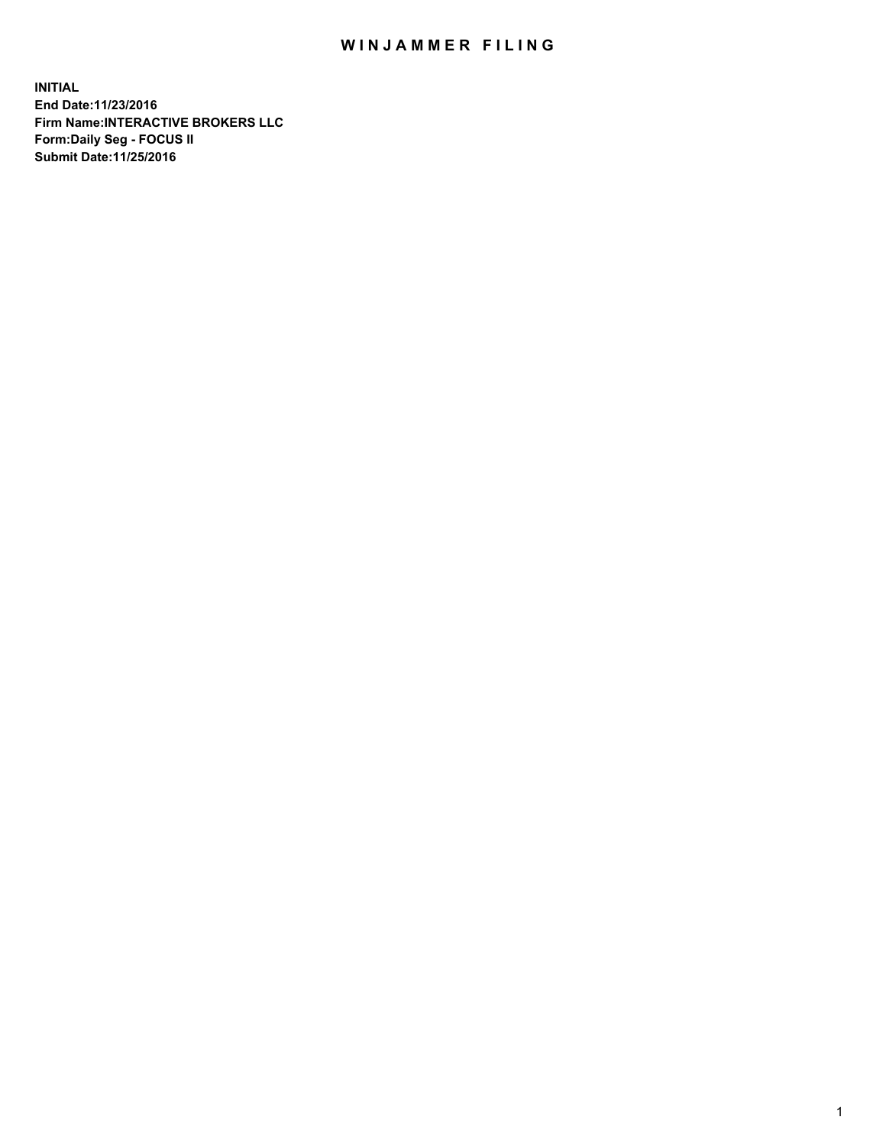## WIN JAMMER FILING

**INITIAL End Date:11/23/2016 Firm Name:INTERACTIVE BROKERS LLC Form:Daily Seg - FOCUS II Submit Date:11/25/2016**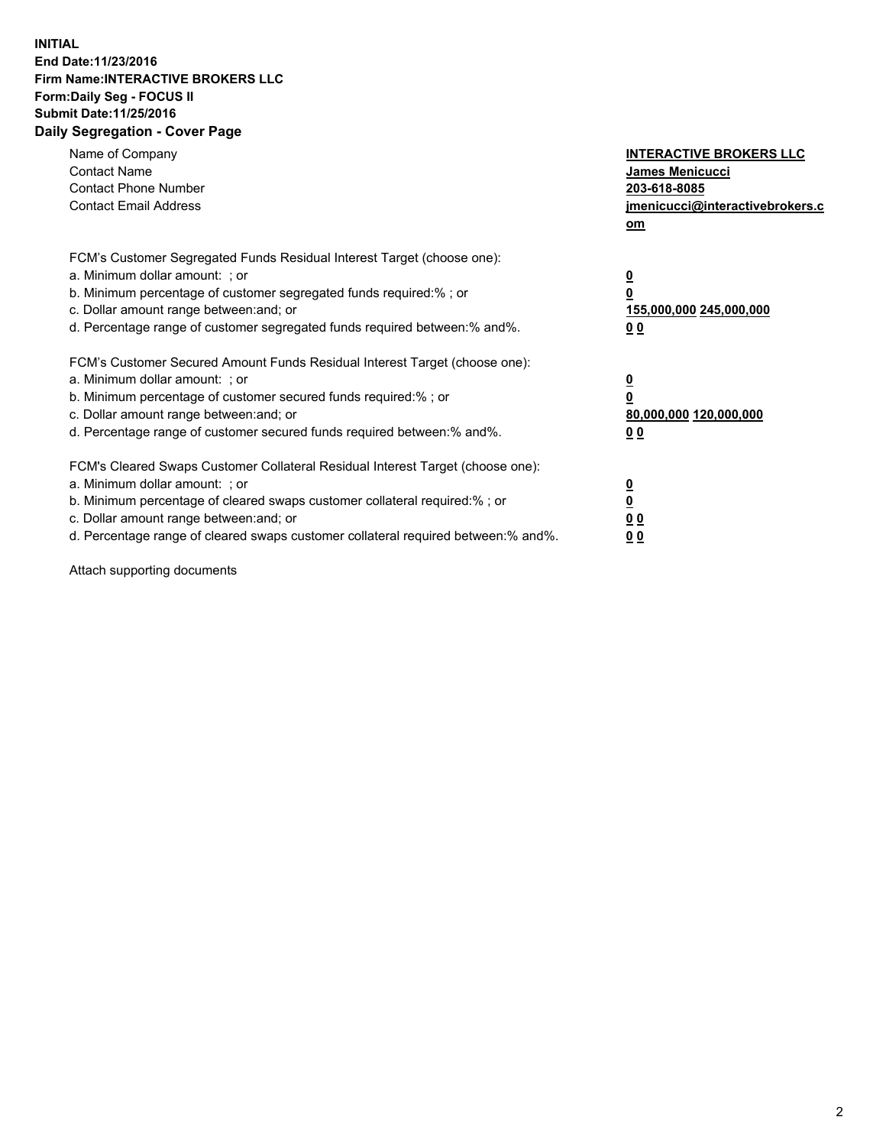## **INITIAL End Date:11/23/2016 Firm Name:INTERACTIVE BROKERS LLC Form:Daily Seg - FOCUS II Submit Date:11/25/2016 Daily Segregation - Cover Page**

| Name of Company<br><b>Contact Name</b><br><b>Contact Phone Number</b><br><b>Contact Email Address</b>                                                                                                                                                                                                                          | <b>INTERACTIVE BROKERS LLC</b><br>James Menicucci<br>203-618-8085<br>jmenicucci@interactivebrokers.c<br>om |
|--------------------------------------------------------------------------------------------------------------------------------------------------------------------------------------------------------------------------------------------------------------------------------------------------------------------------------|------------------------------------------------------------------------------------------------------------|
| FCM's Customer Segregated Funds Residual Interest Target (choose one):<br>a. Minimum dollar amount: ; or<br>b. Minimum percentage of customer segregated funds required:%; or<br>c. Dollar amount range between: and; or<br>d. Percentage range of customer segregated funds required between:% and%.                          | $\overline{\mathbf{0}}$<br>0<br>155,000,000 245,000,000<br>0 <sub>0</sub>                                  |
| FCM's Customer Secured Amount Funds Residual Interest Target (choose one):<br>a. Minimum dollar amount: ; or<br>b. Minimum percentage of customer secured funds required:%; or<br>c. Dollar amount range between: and; or<br>d. Percentage range of customer secured funds required between:% and%.                            | $\overline{\mathbf{0}}$<br>$\overline{\mathbf{0}}$<br>80,000,000 120,000,000<br>00                         |
| FCM's Cleared Swaps Customer Collateral Residual Interest Target (choose one):<br>a. Minimum dollar amount: ; or<br>b. Minimum percentage of cleared swaps customer collateral required:% ; or<br>c. Dollar amount range between: and; or<br>d. Percentage range of cleared swaps customer collateral required between:% and%. | $\overline{\mathbf{0}}$<br>$\overline{\mathbf{0}}$<br>0 <sub>0</sub><br><u>00</u>                          |

Attach supporting documents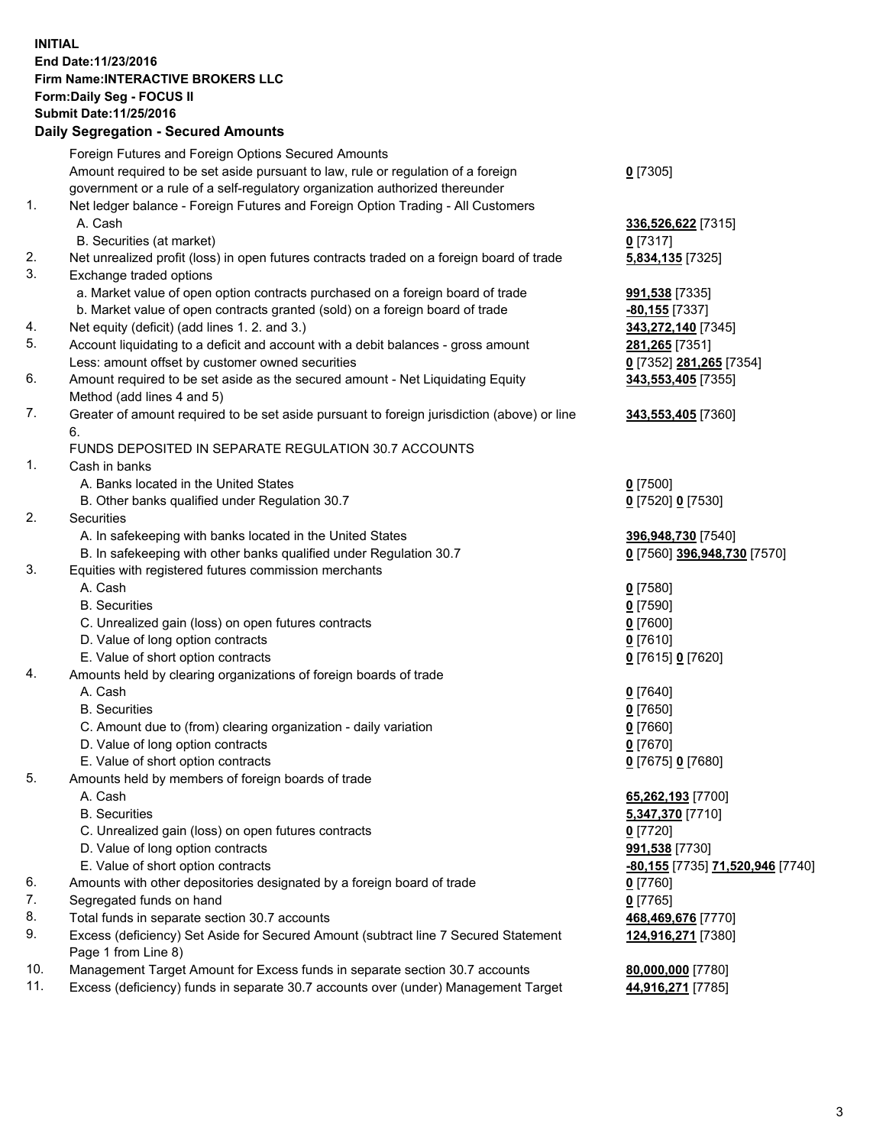## **INITIAL End Date:11/23/2016 Firm Name:INTERACTIVE BROKERS LLC Form:Daily Seg - FOCUS II Submit Date:11/25/2016 Daily Segregation - Secured Amounts**

|     | Daily Jegiegation - Jeculeu Alliounts                                                       |                                           |
|-----|---------------------------------------------------------------------------------------------|-------------------------------------------|
|     | Foreign Futures and Foreign Options Secured Amounts                                         |                                           |
|     | Amount required to be set aside pursuant to law, rule or regulation of a foreign            | $0$ [7305]                                |
|     | government or a rule of a self-regulatory organization authorized thereunder                |                                           |
| 1.  | Net ledger balance - Foreign Futures and Foreign Option Trading - All Customers             |                                           |
|     | A. Cash                                                                                     | 336,526,622 [7315]                        |
|     | B. Securities (at market)                                                                   | $0$ [7317]                                |
| 2.  | Net unrealized profit (loss) in open futures contracts traded on a foreign board of trade   | 5,834,135 [7325]                          |
| 3.  | Exchange traded options                                                                     |                                           |
|     | a. Market value of open option contracts purchased on a foreign board of trade              |                                           |
|     | b. Market value of open contracts granted (sold) on a foreign board of trade                | <b>991,538</b> [7335]<br>$-80,155$ [7337] |
| 4.  | Net equity (deficit) (add lines 1. 2. and 3.)                                               | 343,272,140 [7345]                        |
| 5.  |                                                                                             |                                           |
|     | Account liquidating to a deficit and account with a debit balances - gross amount           | 281,265 [7351]                            |
|     | Less: amount offset by customer owned securities                                            | 0 [7352] 281,265 [7354]                   |
| 6.  | Amount required to be set aside as the secured amount - Net Liquidating Equity              | 343,553,405 [7355]                        |
|     | Method (add lines 4 and 5)                                                                  |                                           |
| 7.  | Greater of amount required to be set aside pursuant to foreign jurisdiction (above) or line | 343,553,405 [7360]                        |
|     | 6.                                                                                          |                                           |
|     | FUNDS DEPOSITED IN SEPARATE REGULATION 30.7 ACCOUNTS                                        |                                           |
| 1.  | Cash in banks                                                                               |                                           |
|     | A. Banks located in the United States                                                       | $0$ [7500]                                |
|     | B. Other banks qualified under Regulation 30.7                                              | 0 [7520] 0 [7530]                         |
| 2.  | Securities                                                                                  |                                           |
|     | A. In safekeeping with banks located in the United States                                   | 396,948,730 [7540]                        |
|     | B. In safekeeping with other banks qualified under Regulation 30.7                          | 0 [7560] 396,948,730 [7570]               |
| 3.  | Equities with registered futures commission merchants                                       |                                           |
|     | A. Cash                                                                                     | $0$ [7580]                                |
|     | <b>B.</b> Securities                                                                        | $0$ [7590]                                |
|     | C. Unrealized gain (loss) on open futures contracts                                         | $0$ [7600]                                |
|     | D. Value of long option contracts                                                           | $0$ [7610]                                |
|     | E. Value of short option contracts                                                          | 0 [7615] 0 [7620]                         |
| 4.  | Amounts held by clearing organizations of foreign boards of trade                           |                                           |
|     | A. Cash                                                                                     | $0$ [7640]                                |
|     | <b>B.</b> Securities                                                                        | $0$ [7650]                                |
|     | C. Amount due to (from) clearing organization - daily variation                             | $0$ [7660]                                |
|     | D. Value of long option contracts                                                           | $0$ [7670]                                |
|     | E. Value of short option contracts                                                          | 0 [7675] 0 [7680]                         |
| 5.  | Amounts held by members of foreign boards of trade                                          |                                           |
|     | A. Cash                                                                                     | 65,262,193 [7700]                         |
|     | <b>B.</b> Securities                                                                        | 5,347,370 [7710]                          |
|     | C. Unrealized gain (loss) on open futures contracts                                         | $0$ [7720]                                |
|     | D. Value of long option contracts                                                           | 991,538 [7730]                            |
|     | E. Value of short option contracts                                                          | -80,155 [7735] 71,520,946 [7740]          |
| 6.  | Amounts with other depositories designated by a foreign board of trade                      | 0 [7760]                                  |
| 7.  | Segregated funds on hand                                                                    | $0$ [7765]                                |
| 8.  | Total funds in separate section 30.7 accounts                                               | 468,469,676 [7770]                        |
| 9.  | Excess (deficiency) Set Aside for Secured Amount (subtract line 7 Secured Statement         | 124,916,271 [7380]                        |
|     | Page 1 from Line 8)                                                                         |                                           |
| 10. | Management Target Amount for Excess funds in separate section 30.7 accounts                 | 80,000,000 [7780]                         |
| 11. | Excess (deficiency) funds in separate 30.7 accounts over (under) Management Target          | 44,916,271 [7785]                         |
|     |                                                                                             |                                           |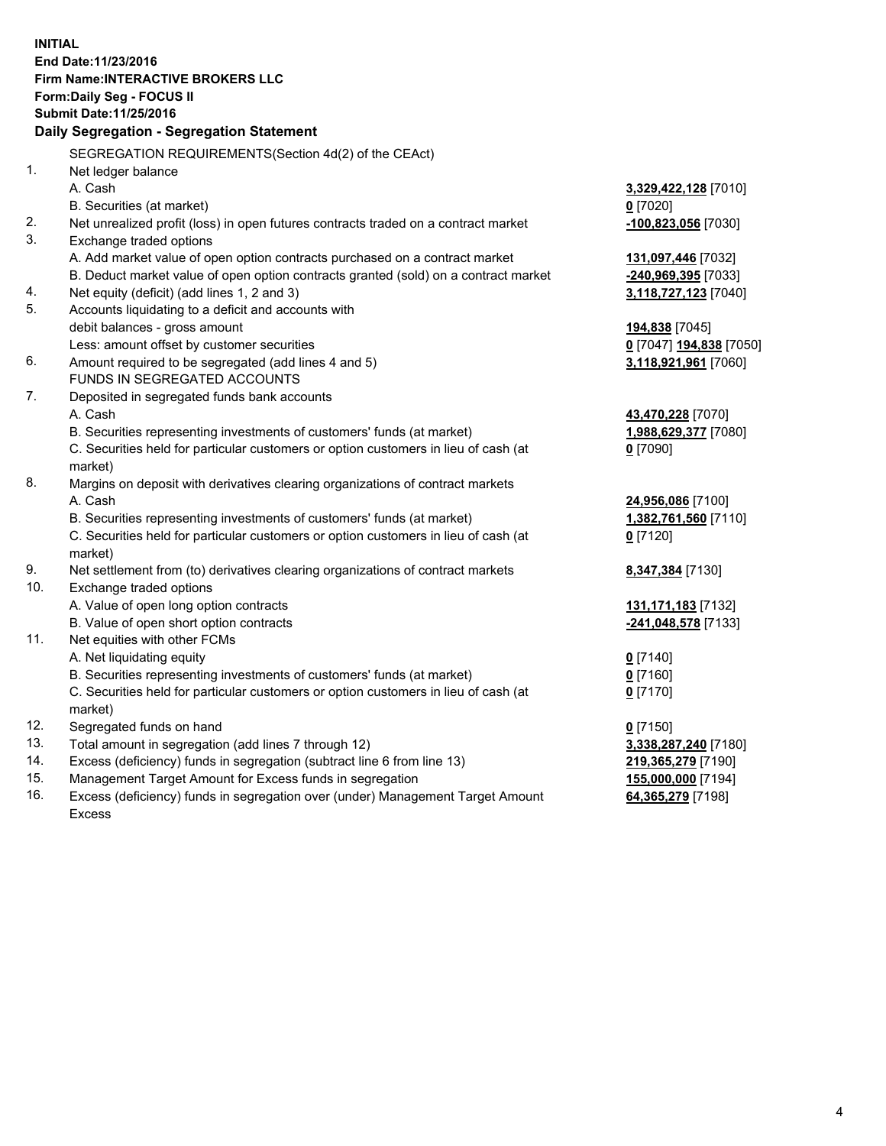**INITIAL End Date:11/23/2016 Firm Name:INTERACTIVE BROKERS LLC Form:Daily Seg - FOCUS II Submit Date:11/25/2016 Daily Segregation - Segregation Statement** SEGREGATION REQUIREMENTS(Section 4d(2) of the CEAct) 1. Net ledger balance A. Cash **3,329,422,128** [7010] B. Securities (at market) **0** [7020] 2. Net unrealized profit (loss) in open futures contracts traded on a contract market **-100,823,056** [7030] 3. Exchange traded options A. Add market value of open option contracts purchased on a contract market **131,097,446** [7032] B. Deduct market value of open option contracts granted (sold) on a contract market **-240,969,395** [7033] 4. Net equity (deficit) (add lines 1, 2 and 3) **3,118,727,123** [7040] 5. Accounts liquidating to a deficit and accounts with debit balances - gross amount **194,838** [7045] Less: amount offset by customer securities **0** [7047] **194,838** [7050] 6. Amount required to be segregated (add lines 4 and 5) **3,118,921,961** [7060] FUNDS IN SEGREGATED ACCOUNTS 7. Deposited in segregated funds bank accounts A. Cash **43,470,228** [7070] B. Securities representing investments of customers' funds (at market) **1,988,629,377** [7080] C. Securities held for particular customers or option customers in lieu of cash (at market) **0** [7090] 8. Margins on deposit with derivatives clearing organizations of contract markets A. Cash **24,956,086** [7100] B. Securities representing investments of customers' funds (at market) **1,382,761,560** [7110] C. Securities held for particular customers or option customers in lieu of cash (at market) **0** [7120] 9. Net settlement from (to) derivatives clearing organizations of contract markets **8,347,384** [7130] 10. Exchange traded options A. Value of open long option contracts **131,171,183** [7132] B. Value of open short option contracts **-241,048,578** [7133] 11. Net equities with other FCMs A. Net liquidating equity **0** [7140] B. Securities representing investments of customers' funds (at market) **0** [7160] C. Securities held for particular customers or option customers in lieu of cash (at market) **0** [7170] 12. Segregated funds on hand **0** [7150] 13. Total amount in segregation (add lines 7 through 12) **3,338,287,240** [7180] 14. Excess (deficiency) funds in segregation (subtract line 6 from line 13) **219,365,279** [7190] 15. Management Target Amount for Excess funds in segregation **155,000,000** [7194] **64,365,279** [7198]

16. Excess (deficiency) funds in segregation over (under) Management Target Amount Excess

4